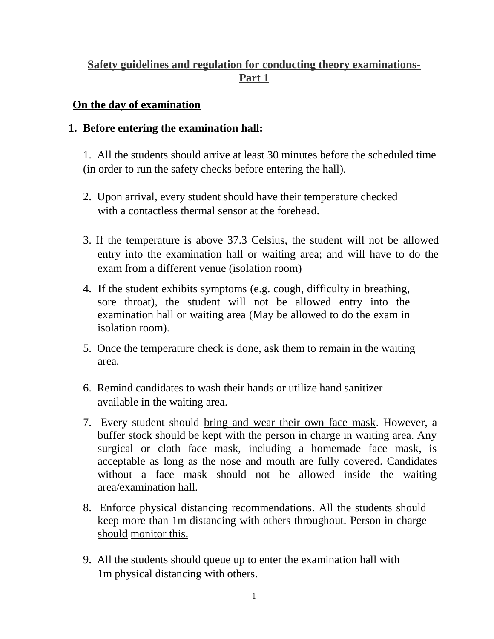## **Safety guidelines and regulation for conducting theory examinations-Part 1**

## **On the day of examination**

## **1. Before entering the examination hall:**

1. All the students should arrive at least 30 minutes before the scheduled time (in order to run the safety checks before entering the hall).

- 2. Upon arrival, every student should have their temperature checked with a contactless thermal sensor at the forehead.
- 3. If the temperature is above 37.3 Celsius, the student will not be allowed entry into the examination hall or waiting area; and will have to do the exam from a different venue (isolation room)
- 4. If the student exhibits symptoms (e.g. cough, difficulty in breathing, sore throat), the student will not be allowed entry into the examination hall or waiting area (May be allowed to do the exam in isolation room).
- 5. Once the temperature check is done, ask them to remain in the waiting area.
- 6. Remind candidates to wash their hands or utilize hand sanitizer available in the waiting area.
- 7. Every student should bring and wear their own face mask. However, a buffer stock should be kept with the person in charge in waiting area. Any surgical or cloth face mask, including a homemade face mask, is acceptable as long as the nose and mouth are fully covered. Candidates without a face mask should not be allowed inside the waiting area/examination hall.
- 8. Enforce physical distancing recommendations. All the students should keep more than 1m distancing with others throughout. Person in charge should monitor this.
- 9. All the students should queue up to enter the examination hall with 1m physical distancing with others.